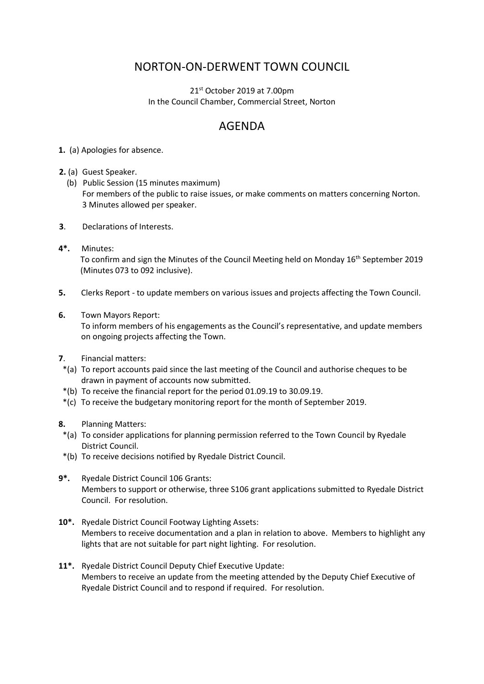## NORTON-ON-DERWENT TOWN COUNCIL

 $21<sup>st</sup>$  October 2019 at 7.00pm In the Council Chamber, Commercial Street, Norton

## AGENDA

- **1.** (a) Apologies for absence.
- **2.** (a) Guest Speaker.
	- (b) Public Session (15 minutes maximum) For members of the public to raise issues, or make comments on matters concerning Norton. 3 Minutes allowed per speaker.
- **3**. Declarations of Interests.
- **4\*.** Minutes: To confirm and sign the Minutes of the Council Meeting held on Monday 16<sup>th</sup> September 2019 (Minutes 073 to 092 inclusive).
- **5.** Clerks Report to update members on various issues and projects affecting the Town Council.
- **6.** Town Mayors Report:

 To inform members of his engagements as the Council's representative, and update members on ongoing projects affecting the Town.

- **7**. Financial matters:
- \*(a) To report accounts paid since the last meeting of the Council and authorise cheques to be drawn in payment of accounts now submitted.
- \*(b) To receive the financial report for the period 01.09.19 to 30.09.19.
- \*(c) To receive the budgetary monitoring report for the month of September 2019.
- **8.** Planning Matters:
- \*(a) To consider applications for planning permission referred to the Town Council by Ryedale District Council.
- \*(b) To receive decisions notified by Ryedale District Council.
- **9\*.** Ryedale District Council 106 Grants: Members to support or otherwise, three S106 grant applications submitted to Ryedale District Council. For resolution.
- **10\*.** Ryedale District Council Footway Lighting Assets: Members to receive documentation and a plan in relation to above. Members to highlight any lights that are not suitable for part night lighting. For resolution.
- **11\*.** Ryedale District Council Deputy Chief Executive Update: Members to receive an update from the meeting attended by the Deputy Chief Executive of Ryedale District Council and to respond if required. For resolution.